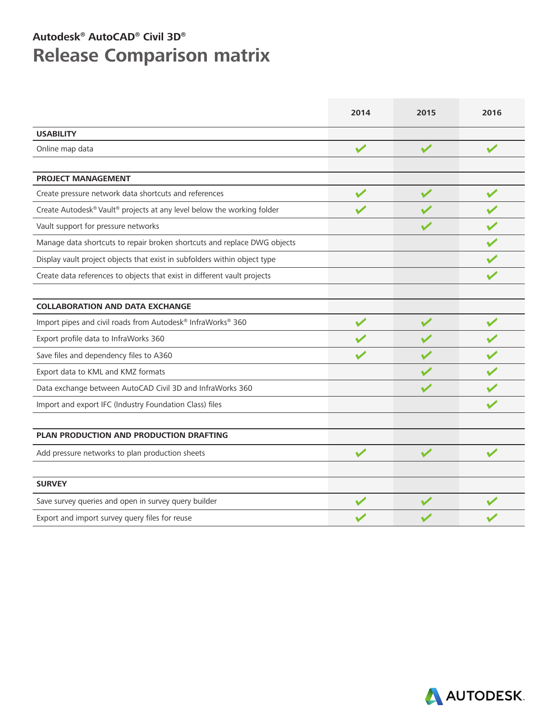## **Autodesk® AutoCAD® Civil 3D® Release Comparison matrix**

|                                                                           | 2014                 | 2015                 | 2016                  |
|---------------------------------------------------------------------------|----------------------|----------------------|-----------------------|
| <b>USABILITY</b>                                                          |                      |                      |                       |
| Online map data                                                           | $\checkmark$         | $\sqrt{}$            | $\sqrt{}$             |
| <b>PROJECT MANAGEMENT</b>                                                 |                      |                      |                       |
| Create pressure network data shortcuts and references                     |                      | $\sqrt{}$            |                       |
| Create Autodesk® Vault® projects at any level below the working folder    |                      |                      |                       |
| Vault support for pressure networks                                       |                      |                      |                       |
| Manage data shortcuts to repair broken shortcuts and replace DWG objects  |                      |                      |                       |
| Display vault project objects that exist in subfolders within object type |                      |                      |                       |
| Create data references to objects that exist in different vault projects  |                      |                      |                       |
|                                                                           |                      |                      |                       |
| <b>COLLABORATION AND DATA EXCHANGE</b>                                    |                      |                      |                       |
| Import pipes and civil roads from Autodesk® InfraWorks® 360               | $\blacktriangledown$ | $\blacktriangledown$ | $\blacktriangleright$ |
| Export profile data to InfraWorks 360                                     |                      |                      |                       |
| Save files and dependency files to A360                                   |                      |                      |                       |
| Export data to KML and KMZ formats                                        |                      |                      |                       |
| Data exchange between AutoCAD Civil 3D and InfraWorks 360                 |                      |                      |                       |
| Import and export IFC (Industry Foundation Class) files                   |                      |                      |                       |
| PLAN PRODUCTION AND PRODUCTION DRAFTING                                   |                      |                      |                       |
| Add pressure networks to plan production sheets                           | $\blacktriangledown$ | $\blacktriangledown$ |                       |
| <b>SURVEY</b>                                                             |                      |                      |                       |
| Save survey queries and open in survey query builder                      |                      |                      |                       |
| Export and import survey query files for reuse                            |                      |                      |                       |

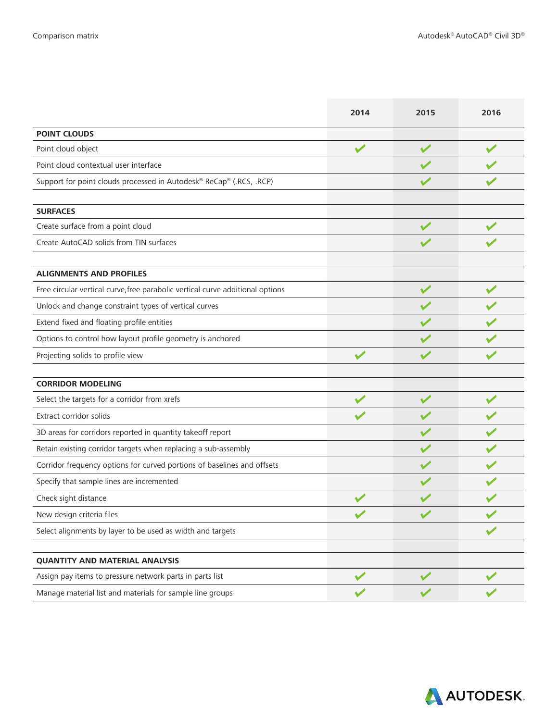|                                                                                | 2014                 | 2015         | 2016         |
|--------------------------------------------------------------------------------|----------------------|--------------|--------------|
| <b>POINT CLOUDS</b>                                                            |                      |              |              |
| Point cloud object                                                             | $\blacktriangledown$ |              |              |
| Point cloud contextual user interface                                          |                      |              |              |
| Support for point clouds processed in Autodesk® ReCap® (.RCS, .RCP)            |                      |              |              |
| <b>SURFACES</b>                                                                |                      |              |              |
| Create surface from a point cloud                                              |                      |              |              |
| Create AutoCAD solids from TIN surfaces                                        |                      |              |              |
| <b>ALIGNMENTS AND PROFILES</b>                                                 |                      |              |              |
| Free circular vertical curve, free parabolic vertical curve additional options |                      | $\sqrt{}$    |              |
| Unlock and change constraint types of vertical curves                          |                      |              |              |
| Extend fixed and floating profile entities                                     |                      |              |              |
| Options to control how layout profile geometry is anchored                     |                      |              |              |
| Projecting solids to profile view                                              |                      |              |              |
| <b>CORRIDOR MODELING</b>                                                       |                      |              |              |
| Select the targets for a corridor from xrefs                                   |                      |              |              |
| Extract corridor solids                                                        |                      |              |              |
| 3D areas for corridors reported in quantity takeoff report                     |                      |              |              |
| Retain existing corridor targets when replacing a sub-assembly                 |                      |              |              |
| Corridor frequency options for curved portions of baselines and offsets        |                      |              |              |
| Specify that sample lines are incremented                                      |                      |              |              |
| Check sight distance                                                           |                      |              |              |
| New design criteria files                                                      |                      |              |              |
| Select alignments by layer to be used as width and targets                     |                      |              |              |
| <b>QUANTITY AND MATERIAL ANALYSIS</b>                                          |                      |              |              |
| Assign pay items to pressure network parts in parts list                       | $\checkmark$         | $\checkmark$ | $\checkmark$ |
| Manage material list and materials for sample line groups                      |                      |              |              |

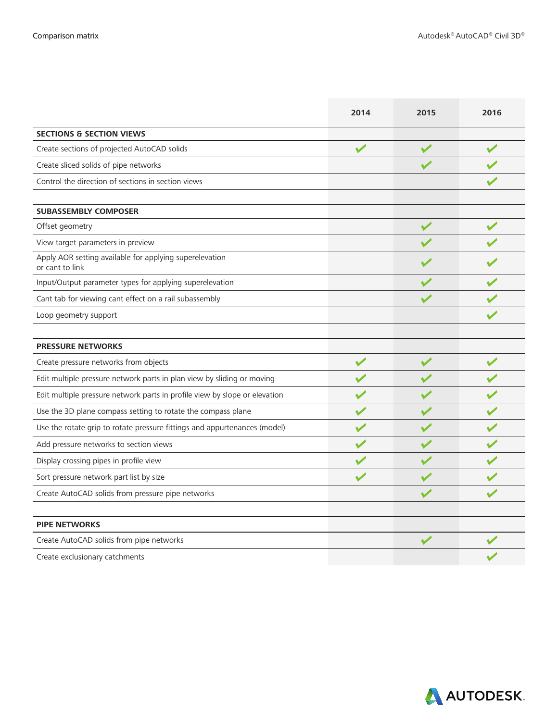|                                                                            | 2014                 | 2015         | 2016         |
|----------------------------------------------------------------------------|----------------------|--------------|--------------|
| <b>SECTIONS &amp; SECTION VIEWS</b>                                        |                      |              |              |
| Create sections of projected AutoCAD solids                                | $\checkmark$         | $\checkmark$ | $\checkmark$ |
| Create sliced solids of pipe networks                                      |                      |              |              |
| Control the direction of sections in section views                         |                      |              |              |
| <b>SUBASSEMBLY COMPOSER</b>                                                |                      |              |              |
| Offset geometry                                                            |                      | $\checkmark$ | $\checkmark$ |
| View target parameters in preview                                          |                      |              |              |
| Apply AOR setting available for applying superelevation<br>or cant to link |                      |              |              |
| Input/Output parameter types for applying superelevation                   |                      |              |              |
| Cant tab for viewing cant effect on a rail subassembly                     |                      |              |              |
| Loop geometry support                                                      |                      |              |              |
|                                                                            |                      |              |              |
| <b>PRESSURE NETWORKS</b>                                                   |                      |              |              |
| Create pressure networks from objects                                      | $\checkmark$         | $\checkmark$ | $\checkmark$ |
| Edit multiple pressure network parts in plan view by sliding or moving     | $\blacktriangledown$ | $\checkmark$ |              |
| Edit multiple pressure network parts in profile view by slope or elevation |                      |              |              |
| Use the 3D plane compass setting to rotate the compass plane               |                      |              |              |
| Use the rotate grip to rotate pressure fittings and appurtenances (model)  |                      |              |              |
| Add pressure networks to section views                                     |                      |              |              |
| Display crossing pipes in profile view                                     |                      |              |              |
| Sort pressure network part list by size                                    |                      |              |              |
| Create AutoCAD solids from pressure pipe networks                          |                      |              |              |
| <b>PIPE NETWORKS</b>                                                       |                      |              |              |
| Create AutoCAD solids from pipe networks                                   |                      |              |              |
| Create exclusionary catchments                                             |                      |              |              |